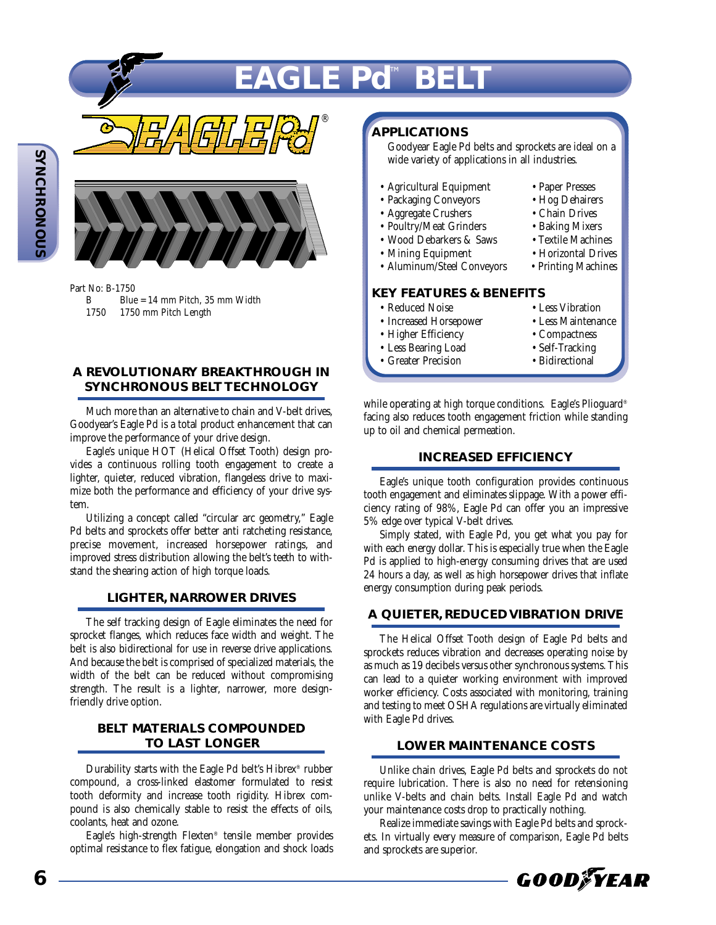# $EAGLE$  Pd™ BE

®



Part No: B-1750

- Blue = 14 mm Pitch, 35 mm Width
- 1750 1750 mm Pitch Length

### **A REVOLUTIONARY BREAKTHROUGH IN SYNCHRONOUS BELT TECHNOLOGY**

Much more than an alternative to chain and V-belt drives, Goodyear's Eagle Pd is a total product enhancement that can improve the performance of your drive design.

Eagle's unique HOT (Helical Offset Tooth) design provides a continuous rolling tooth engagement to create a lighter, quieter, reduced vibration, flangeless drive to maximize both the performance and efficiency of your drive system.

Utilizing a concept called "circular arc geometry," Eagle Pd belts and sprockets offer better anti ratcheting resistance, precise movement, increased horsepower ratings, and improved stress distribution allowing the belt's teeth to withstand the shearing action of high torque loads.

### **LIGHTER, NARROWER DRIVES**

The self tracking design of Eagle eliminates the need for sprocket flanges, which reduces face width and weight. The belt is also bidirectional for use in reverse drive applications. And because the belt is comprised of specialized materials, the width of the belt can be reduced without compromising strength. The result is a lighter, narrower, more designfriendly drive option.

### **BELT MATERIALS COMPOUNDED TO LAST LONGER**

Durability starts with the Eagle Pd belt's Hibrex® rubber compound, a cross-linked elastomer formulated to resist tooth deformity and increase tooth rigidity. Hibrex compound is also chemically stable to resist the effects of oils, coolants, heat and ozone.

Eagle's high-strength Flexten® tensile member provides optimal resistance to flex fatigue, elongation and shock loads

### **APPLICATIONS**

Goodyear Eagle Pd belts and sprockets are ideal on a wide variety of applications in all industries.

- Agricultural Equipment Paper Presses<br>• Packaging Conveyors Hog Dehairers
- Packaging Conveyors Hog Dehairer<br>• Aggregate Crushers Chain Drives
- 
- Aggregate Crushers Chain Drives • Poultry/Meat Grinders • Baking Mixers<br>• Wood Debarkers & Saws • Textile Machines
- Wood Debarkers & Saws
- Mining Equipment Horizontal Drives
- Aluminum/Steel Conveyors Printing Machines

### **KEY FEATURES & BENEFITS**

- 
- Increased Horsepower Less Maintenance Less Maintenance Compactness
- Higher Efficiency<br>• Less Bearing Load<br>• Self-Tracking
- Less Bearing Load
- Greater Precision Bidirectional
- 
- 
- 
- 
- 
- 
- 
- 
- Reduced Noise Less Vibration<br>• Increased Horsepower Less Maintenance
	-
	-
	-

while operating at high torque conditions. Eagle's Plioguard® facing also reduces tooth engagement friction while standing up to oil and chemical permeation.

### **INCREASED EFFICIENCY**

Eagle's unique tooth configuration provides continuous tooth engagement and eliminates slippage. With a power efficiency rating of 98%, Eagle Pd can offer you an impressive 5% edge over typical V-belt drives.

Simply stated, with Eagle Pd, you get what you pay for with each energy dollar. This is especially true when the Eagle Pd is applied to high-energy consuming drives that are used 24 hours a day, as well as high horsepower drives that inflate energy consumption during peak periods.

### **A QUIETER, REDUCED VIBRATION DRIVE**

The Helical Offset Tooth design of Eagle Pd belts and sprockets reduces vibration and decreases operating noise by as much as 19 decibels versus other synchronous systems. This can lead to a quieter working environment with improved worker efficiency. Costs associated with monitoring, training and testing to meet OSHA regulations are virtually eliminated with Eagle Pd drives.

### **LOWER MAINTENANCE COSTS**

Unlike chain drives, Eagle Pd belts and sprockets do not require lubrication. There is also no need for retensioning unlike V-belts and chain belts. Install Eagle Pd and watch your maintenance costs drop to practically nothing.

Realize immediate savings with Eagle Pd belts and sprockets. In virtually every measure of comparison, Eagle Pd belts and sprockets are superior.

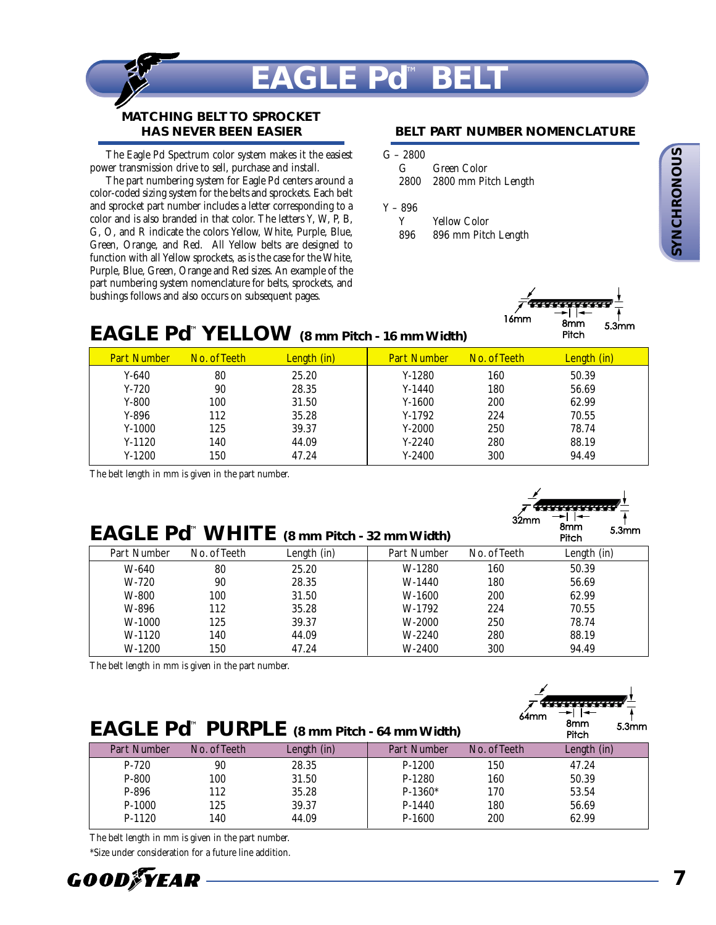

### **MATCHING BELT TO SPROCKET HAS NEVER BEEN EASIER**

The Eagle Pd Spectrum color system makes it the easiest power transmission drive to sell, purchase and install.

The part numbering system for Eagle Pd centers around a color-coded sizing system for the belts and sprockets. Each belt and sprocket part number includes a letter corresponding to a color and is also branded in that color. The letters Y, W, P, B, G, O, and R indicate the colors Yellow, White, Purple, Blue, Green, Orange, and Red. All Yellow belts are designed to function with all Yellow sprockets, as is the case for the White, Purple, Blue, Green, Orange and Red sizes. An example of the part numbering system nomenclature for belts, sprockets, and bushings follows and also occurs on subsequent pages.

### **BELT PART NUMBER NOMENCLATURE**

| G | Green Color               |
|---|---------------------------|
|   | 2800 2800 mm Pitch Length |

### Y – 896

| Y   | <b>Yellow Color</b> |
|-----|---------------------|
| 896 | 896 mm Pitch Length |



## **EAGLE Pd**™ **YELLOW (8 mm Pitch - 16 mm Width)**

| <b>Part Number</b> | No. of Teeth | Length (in) | <b>Part Number</b> | No. of Teeth | Length (in) |
|--------------------|--------------|-------------|--------------------|--------------|-------------|
| $Y-640$            | 80           | 25.20       | $Y-1280$           | 160          | 50.39       |
| $Y-720$            | 90           | 28.35       | $Y-1440$           | 180          | 56.69       |
| $Y-800$            | 100          | 31.50       | $Y-1600$           | 200          | 62.99       |
| $Y-896$            | 112          | 35.28       | $Y-1792$           | 224          | 70.55       |
| $Y-1000$           | 125          | 39.37       | $Y-2000$           | 250          | 78.74       |
| $Y-1120$           | 140          | 44.09       | $Y-2240$           | 280          | 88.19       |
| $Y-1200$           | 150          | 47.24       | $Y-2400$           | 300          | 94.49       |

The belt length in mm is given in the part number.

| 32mm          | <b>RETERENTE</b><br>8mm<br>Pitch | 5.3mm |
|---------------|----------------------------------|-------|
| Io. of Teeth  | Length (in)                      |       |
| 160           | 50.39                            |       |
| $\sim$ $\sim$ | ----                             |       |

|             |              | <b>EAGLE Pd<sup>"</sup> WHITE</b> $(8 \text{ mm} \text{ Pitch} \cdot 32 \text{ mm} \text{ Width})$ |             |              | omm<br>Pitch | 5.3 <sub>mm</sub> |
|-------------|--------------|----------------------------------------------------------------------------------------------------|-------------|--------------|--------------|-------------------|
| Part Number | No. of Teeth | Length (in)                                                                                        | Part Number | No. of Teeth | Length (in)  |                   |
| W-640       | 80           | 25.20                                                                                              | W-1280      | 160          | 50.39        |                   |
| $W-720$     | 90           | 28.35                                                                                              | W-1440      | 180          | 56.69        |                   |
| W-800       | 100          | 31.50                                                                                              | W-1600      | 200          | 62.99        |                   |
| W-896       | 112          | 35.28                                                                                              | W-1792      | 224          | 70.55        |                   |
| W-1000      | 125          | 39.37                                                                                              | W-2000      | 250          | 78.74        |                   |
| W-1120      | 140          | 44.09                                                                                              | W-2240      | 280          | 88.19        |                   |
| $W-1200$    | 150          | 47.24                                                                                              | W-2400      | 300          | 94.49        |                   |

The belt length in mm is given in the part number.  $\frac{1}{\sqrt{1-\frac{1}{\sqrt{1-\frac{1}{\sqrt{1-\frac{1}{\sqrt{1-\frac{1}{\sqrt{1-\frac{1}{\sqrt{1-\frac{1}{\sqrt{1-\frac{1}{\sqrt{1-\frac{1}{\sqrt{1-\frac{1}{\sqrt{1-\frac{1}{\sqrt{1-\frac{1}{\sqrt{1-\frac{1}{\sqrt{1-\frac{1}{\sqrt{1-\frac{1}{\sqrt{1-\frac{1}{\sqrt{1-\frac{1}{\sqrt{1-\frac{1}{\sqrt{1-\frac{1}{\sqrt{1-\frac{1}{\sqrt{1-\frac{1}{\sqrt{1-\frac{1}{\sqrt{1-\frac{1}{\sqrt{1-\frac{1}{\sqrt{1-\frac{1$ 

| 64mm<br>8mm<br><b>EAGLE Pd<sup>™</sup> PURPLE</b> (8 mm Pitch - 64 mm Width)<br>5.3 <sub>mm</sub><br>Pitch |              |             |             |              |             |  |  |  |
|------------------------------------------------------------------------------------------------------------|--------------|-------------|-------------|--------------|-------------|--|--|--|
| Part Number                                                                                                | No. of Teeth | Length (in) | Part Number | No. of Teeth | Length (in) |  |  |  |
| $P-720$                                                                                                    | 90           | 28.35       | $P-1200$    | 150          | 47.24       |  |  |  |
| $P-800$                                                                                                    | 100          | 31.50       | $P-1280$    | 160          | 50.39       |  |  |  |
| $P-896$                                                                                                    | 112          | 35.28       | $P-1360*$   | 170          | 53.54       |  |  |  |
| $P-1000$                                                                                                   | 125          | 39.37       | $P-1440$    | 180          | 56.69       |  |  |  |
| $P-1120$                                                                                                   | 140          | 44.09       | $P-1600$    | 200          | 62.99       |  |  |  |

The belt length in mm is given in the part number.

\*Size under consideration for a future line addition.

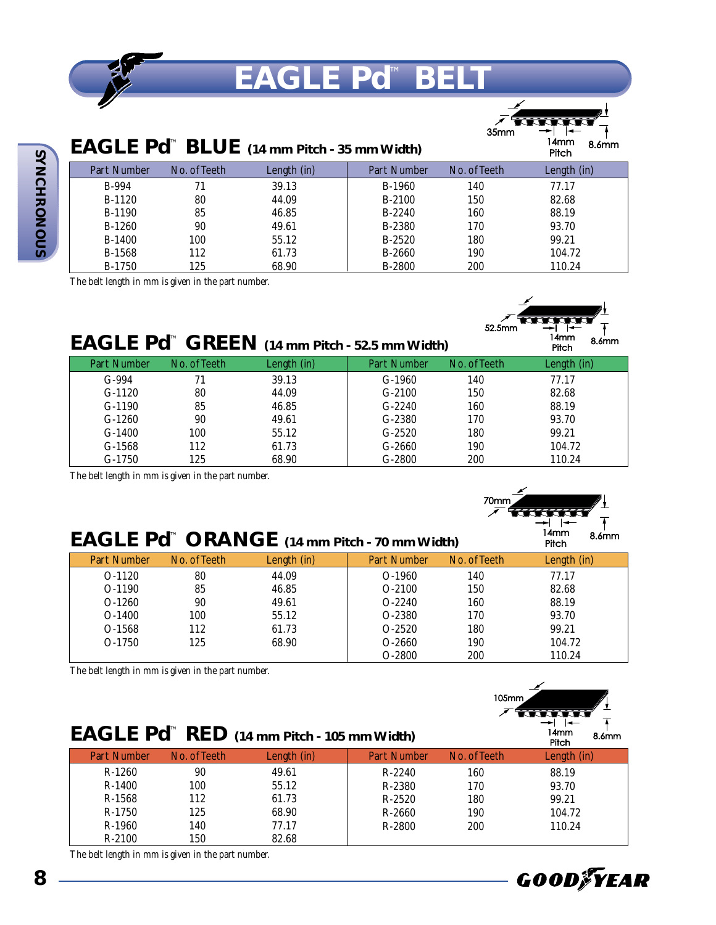

# **EAGLE Pd™ BEL**

35mm

5.3mm

32mm 8mm

| EAGLE Pd <sup>™</sup> BLUE (14 mm Pitch - 35 mm Width) | 14mm<br>8.6mm<br>Pitch |             |               |              |             |
|--------------------------------------------------------|------------------------|-------------|---------------|--------------|-------------|
| Part Number                                            | No. of Teeth           | Length (in) | Part Number   | No. of Teeth | Length (in) |
| B-994                                                  | 71                     | 39.13       | B-1960        | 140          | 77.17       |
| B-1120                                                 | 80                     | 44.09       | B-2100        | 150          | 82.68       |
| B-1190                                                 | 85                     | 46.85       | B-2240        | 160          | 88.19       |
| $B-1260$                                               | 90                     | 49.61       | B-2380        | 170          | 93.70       |
| B-1400                                                 | 100                    | 55.12       | B-2520        | 180          | 99.21       |
| B-1568                                                 | 112                    | 61.73       | B-2660        | 190          | 104.72      |
| B-1750                                                 | 125                    | 68.90       | <b>B-2800</b> | 200          | 110.24      |

The belt length in mm is given in the part number.



|  | $\mathsf{EAGLE}$ Pd <sup>to</sup> GREEN (14 mm Pitch - 52.5 mm Width) |
|--|-----------------------------------------------------------------------|
|--|-----------------------------------------------------------------------|

| Part Number | No. of Teeth | Length (in) | Part Number | No. of Teeth | Length (in) |
|-------------|--------------|-------------|-------------|--------------|-------------|
| $G-994$     | 71           | 39.13       | $G-1960$    | 140          | 77.17       |
| $G-1120$    | 80           | 44.09       | $G-2100$    | 150          | 82.68       |
| $G-1190$    | 85           | 46.85       | $G-2240$    | 160          | 88.19       |
| $G-1260$    | 90           | 49.61       | $G-2380$    | 170          | 93.70       |
| $G-1400$    | 100          | 55.12       | $G-2520$    | 180          | 99.21       |
| $G-1568$    | 112          | 61.73       | $G-2660$    | 190          | 104.72      |
| $G-1750$    | 125          | 68.90       | $G-2800$    | 200          | 110.24      |

The belt length in mm is given in the part number.



| EAGLE Pd <sup>™</sup> ORANGE (14 mm Pitch - 70 mm Width) | 14mm<br>8.6mm<br>Pitch |             |                    |              |             |
|----------------------------------------------------------|------------------------|-------------|--------------------|--------------|-------------|
| Part Number                                              | No. of Teeth           | Length (in) | <b>Part Number</b> | No. of Teeth | Length (in) |
| $O-1120$                                                 | 80                     | 44.09       | $O-1960$           | 140          | 77.17       |
| $O-1190$                                                 | 85                     | 46.85       | $O-2100$           | 150          | 82.68       |
| $O-1260$                                                 | 90                     | 49.61       | $O-2240$           | 160          | 88.19       |
| $O-1400$                                                 | 100                    | 55.12       | O-2380             | 170          | 93.70       |
| $O-1568$                                                 | 112                    | 61.73       | $O-2520$           | 180          | 99.21       |
| $O-1750$                                                 | 125                    | 68.90       | $O-2660$           | 190          | 104.72      |
|                                                          |                        |             | $O-2800$           | 200          | 110.24      |

The belt length in mm is given in the part number.

|                    |              |                                                        |                    | $105$ mm     |                        |
|--------------------|--------------|--------------------------------------------------------|--------------------|--------------|------------------------|
|                    |              | EAGLE Pd <sup>™</sup> RED (14 mm Pitch - 105 mm Width) |                    |              | 14mm<br>8.6mm<br>Pitch |
| <b>Part Number</b> | No. of Teeth | Length (in)                                            | <b>Part Number</b> | No. of Teeth | Length (in)            |
| $R-1260$           | 90           | 49.61                                                  | $R-2240$           | 160          | 88.19                  |
| $R-1400$           | 100          | 55.12                                                  | R-2380             | 170          | 93.70                  |
| $R-1568$           | 112          | 61.73                                                  | $R-2520$           | 180          | 99.21                  |
| R-1750             | 125          | 68.90                                                  | $R-2660$           | 190          | 104.72                 |
| $R-1960$           | 140          | 77.17                                                  | $R-2800$           | 200          | 110.24                 |
| $R-2100$           | 150          | 82.68                                                  |                    |              |                        |

The belt length in mm is given in the part number.

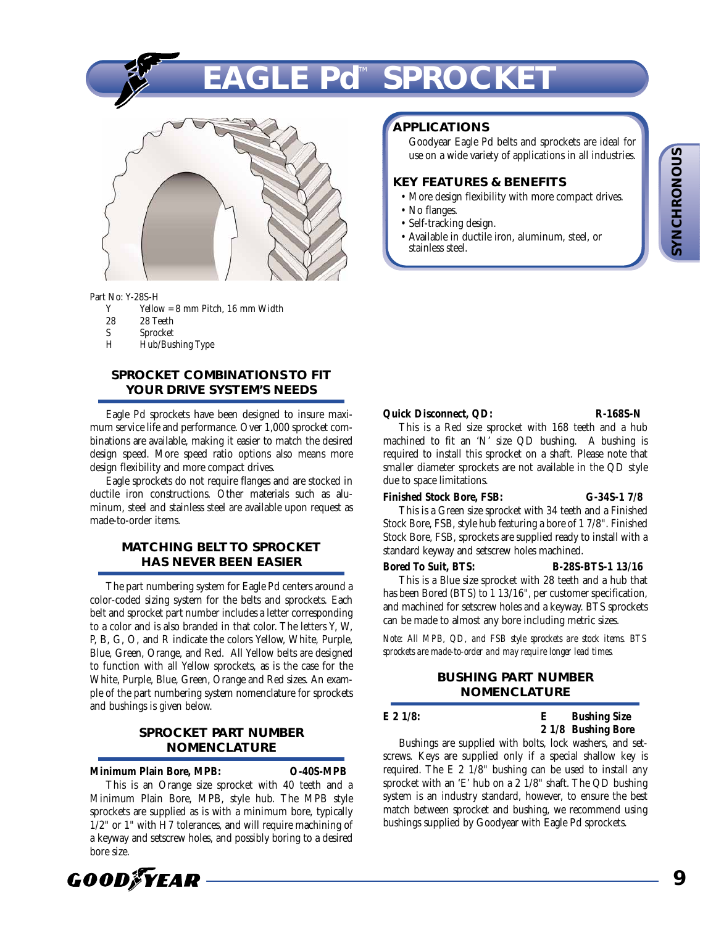**SYNCHRONOUS SYNCHRONOUS**

# **EAGLE Pd**™ **SPROCKET**



Part No: Y-28S-H

- Y Yellow =  $8 \text{ mm}$  Pitch,  $16 \text{ mm}$  Width  $28 \text{ year}$
- 28 28 Teeth<br>Shrocket
- S Sprocket<br>H Hub/Bus
- Hub/Bushing Type

### **SPROCKET COMBINATIONS TO FIT YOUR DRIVE SYSTEM'S NEEDS**

Eagle Pd sprockets have been designed to insure maximum service life and performance. Over 1,000 sprocket combinations are available, making it easier to match the desired design speed. More speed ratio options also means more design flexibility and more compact drives.

Eagle sprockets do not require flanges and are stocked in ductile iron constructions. Other materials such as aluminum, steel and stainless steel are available upon request as made-to-order items.

### **MATCHING BELT TO SPROCKET HAS NEVER BEEN EASIER**

The part numbering system for Eagle Pd centers around a color-coded sizing system for the belts and sprockets. Each belt and sprocket part number includes a letter corresponding to a color and is also branded in that color. The letters Y, W, P, B, G, O, and R indicate the colors Yellow, White, Purple, Blue, Green, Orange, and Red. All Yellow belts are designed to function with all Yellow sprockets, as is the case for the White, Purple, Blue, Green, Orange and Red sizes. An example of the part numbering system nomenclature for sprockets and bushings is given below.

### **SPROCKET PART NUMBER NOMENCLATURE**

**Minimum Plain Bore, MPB: O-40S-MPB**

This is an Orange size sprocket with 40 teeth and a Minimum Plain Bore, MPB, style hub. The MPB style sprockets are supplied as is with a minimum bore, typically 1/2" or 1" with H7 tolerances, and will require machining of a keyway and setscrew holes, and possibly boring to a desired bore size.



### **APPLICATIONS**

Goodyear Eagle Pd belts and sprockets are ideal for use on a wide variety of applications in all industries.

### **KEY FEATURES & BENEFITS**

- More design flexibility with more compact drives.
- No flanges.
- Self-tracking design.
- Available in ductile iron, aluminum, steel, or stainless steel.

### **Quick Disconnect, QD: R-168S-N**

This is a Red size sprocket with 168 teeth and a hub machined to fit an 'N' size QD bushing. A bushing is required to install this sprocket on a shaft. Please note that smaller diameter sprockets are not available in the QD style due to space limitations.

### **Finished Stock Bore, FSB: G-34S-1 7/8**

This is a Green size sprocket with 34 teeth and a Finished Stock Bore, FSB, style hub featuring a bore of 1 7/8". Finished Stock Bore, FSB, sprockets are supplied ready to install with a standard keyway and setscrew holes machined.

### **Bored To Suit, BTS: B-28S-BTS-1 13/16**

This is a Blue size sprocket with 28 teeth and a hub that has been Bored (BTS) to 1 13/16", per customer specification, and machined for setscrew holes and a keyway. BTS sprockets can be made to almost any bore including metric sizes.

*Note: All MPB, QD, and FSB style sprockets are stock items. BTS sprockets are made-to-order and may require longer lead times.*

### **BUSHING PART NUMBER NOMENCLATURE**

**E 2 1/8: E Bushing Size 2 1/8 Bushing Bore**

Bushings are supplied with bolts, lock washers, and setscrews. Keys are supplied only if a special shallow key is required. The E 2 1/8" bushing can be used to install any sprocket with an 'E' hub on a 2 1/8" shaft. The QD bushing system is an industry standard, however, to ensure the best match between sprocket and bushing, we recommend using bushings supplied by Goodyear with Eagle Pd sprockets.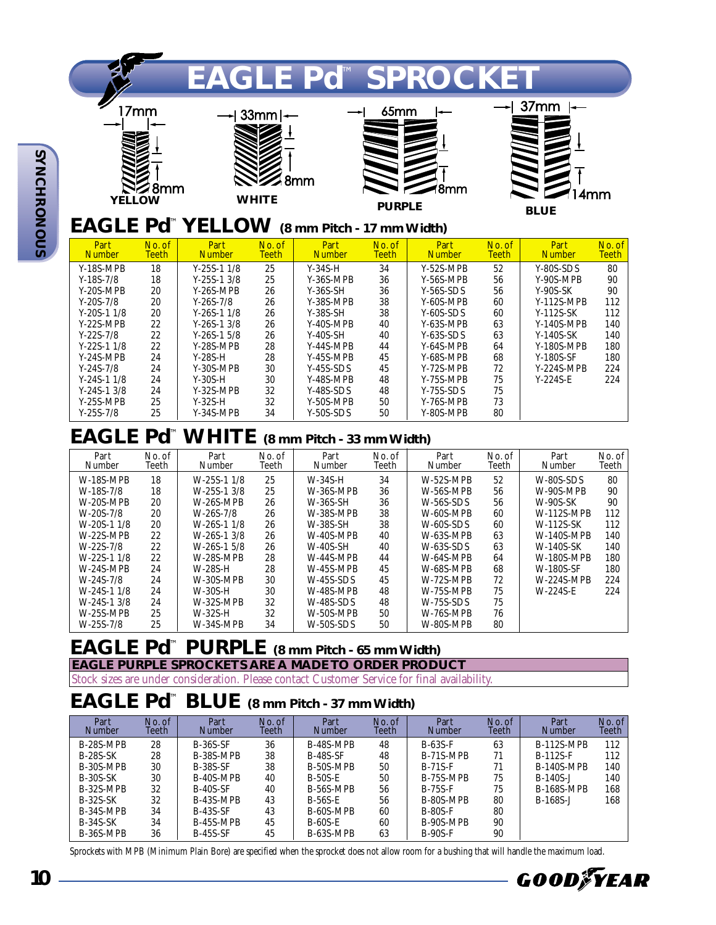

Y-40S-MPB 40<br>Y-40S-SH 40 Y-40S-SH 40<br>Y-44S-MPB 44 Y-44S-MPB 44<br>Y-45S-MPB 45  $Y-45S-MPB$ Y-45S-SDS 45<br>Y-48S-MPB 48 Y-48S-MPB 48<br>Y-48S-SDS 48 Y-48S-SDS 48<br>Y-50S-MPB 50 Y-50S-MPB 50<br>Y-50S-SDS 50  $Y-50S-SDS$ 

Y-63S-MPB 63<br>Y-63S-SDS 63 Y-63S-SDS 63<br>Y-64S-MPB 64 Y-64S-MPB 64<br>Y-68S-MPB 68  $Y-68S-MPB$ 

Y-72S-MPB 72<br>Y-75S-MPB 75 Y-75S-MPB 75<br>Y-75S-SDS 75 Y-75S-SDS 75<br>Y-76S-MPB 73 Y-76S-MPB 73<br>Y-80S-MPB 80  $Y-80S-MPB$ 

## **EAGLE Pd**™**WHITE (8 mm Pitch - 33 mm Width)**

Y-26S-1 3/8 26<br>Y-26S-1 5/8 26 Y-26S-1 5/8 26<br>Y-28S-MPB 28 Y-28S-MPB 28<br>Y-28S-H 28 Y-28S-H 28<br>Y-30S-MPB 30 Y-30S-MPB 30<br>Y-30S-H 30 Y-30S-H 30<br>Y-32S-MPB 32 Y-32S-MPB 32<br>Y-32S-H 32 Y-32S-H 32<br>Y-34S-MPB 34 Y-34S-MPB

| Part<br><b>Number</b> | No. of<br>Teeth | Part<br>Number   | No. of<br>Teeth | Part<br>Number   | No. of<br>Teeth | Part<br>Number   | No. of<br>Teeth | Part<br><b>Number</b> | No. of<br>Teeth |
|-----------------------|-----------------|------------------|-----------------|------------------|-----------------|------------------|-----------------|-----------------------|-----------------|
| <b>W-18S-MPB</b>      | 18              | $W-25S-11/8$     | 25              | $W-34S-H$        | 34              | $W-52S-MPR$      | 52              | <b>W-80S-SDS</b>      | 80              |
| $W-18S-7/8$           | 18              | $W-25S-13/8$     | 25              | W-36S-MPB        | 36              | $W-56S-MPR$      | 56              | W-90S-MPB             | 90              |
| $W-20S-MPR$           | 20              | W-26S-MPB        | 26              | W-36S-SH         | 36              | $W-56S-SDS$      | 56              | <b>W-90S-SK</b>       | 90              |
| $W-20S-7/8$           | 20              | $W-26S-7/8$      | 26              | W-38S-MPB        | 38              | W-60S-MPB        | 60              | <b>W-112S-MPB</b>     | 112             |
| $W-20S-11/8$          | 20              | $W-26S-11/8$     | 26              | W-38S-SH         | 38              | $W-60S-SDS$      | 60              | W-112S-SK             | 112             |
| $W-22S-MPB$           | 22              | $W-26S-13/8$     | 26              | W-40S-MPB        | 40              | W-63S-MPB        | 63              | <b>W-140S-MPB</b>     | 140             |
| $W-22S-7/8$           | 22              | $W-26S-1$ 5/8    | 26              | $W-40S-SH$       | 40              | $W-63S-SDS$      | 63              | <b>W-140S-SK</b>      | 140             |
| $W-22S-11/8$          | 22              | <b>W-28S-MPB</b> | 28              | W-44S-MPB        | 44              | W-64S-MPB        | 64              | <b>W-180S-MPB</b>     | 180             |
| $W-24S-MPR$           | 24              | W-28S-H          | 28              | W-45S-MPB        | 45              | W-68S-MPB        | 68              | W-180S-SF             | 180             |
| $W-24S-7/8$           | 24              | $W-30S-MPB$      | 30              | $W-45S-SDS$      | 45              | W-72S-MPB        | 72              | <b>W-224S-MPB</b>     | 224             |
| $W-24S-11/8$          | 24              | W-30S-H          | 30              | <b>W-48S-MPB</b> | 48              | $W-75S-MPR$      | 75              | $W-224S-E$            | 224             |
| $W-24S-13/8$          | 24              | <b>W-32S-MPB</b> | 32              | <b>W-48S-SDS</b> | 48              | <b>W-75S-SDS</b> | 75              |                       |                 |
| $W-25S-MPB$           | 25              | W-32S-H          | 32              | W-50S-MPB        | 50              | W-76S-MPB        | 76              |                       |                 |
| $W-25S-7/8$           | 25              | W-34S-MPB        | 34              | $W-50S-SDS$      | 50              | W-80S-MPB        | 80              |                       |                 |

# **EAGLE Pd**™ **PURPLE (8 mm Pitch - 65 mm Width)**

**EAGLE PURPLE SPROCKETS ARE A MADE TO ORDER PRODUCT**

Stock sizes are under consideration. Please contact Customer Service for final availability.

# **EAGLE Pd**™ **BLUE (8 mm Pitch - 37 mm Width)**

| Part<br><b>Number</b> | No. of<br>Teeth | Part<br><b>Number</b> | No. of<br>Teeth | Part<br><b>Number</b> | No. of<br>Teeth | Part<br><b>Number</b> | No. of<br>Teeth | Part<br><b>Number</b> | No. of<br><b>Teeth</b> |
|-----------------------|-----------------|-----------------------|-----------------|-----------------------|-----------------|-----------------------|-----------------|-----------------------|------------------------|
| B-28S-MPB             | 28              | <b>B-36S-SF</b>       | 36              | B-48S-MPB             | 48              | $B-63S-F$             | 63              | <b>B-112S-MPB</b>     | 112                    |
| <b>B-28S-SK</b>       | 28              | B-38S-MPB             | 38              | <b>B-48S-SF</b>       | 48              | B-71S-MPB             | 71              | $B-112S-F$            | 112                    |
| B-30S-MPB             | 30              | <b>B-38S-SF</b>       | 38              | B-50S-MPB             | 50              | $B-71S-F$             | 71              | <b>B-140S-MPB</b>     | 140                    |
| <b>B-30S-SK</b>       | 30              | B-40S-MPB             | 40              | <b>B-50S-E</b>        | 50              | B-75S-MPB             | 75              | $B-140S-J$            | 140                    |
| B-32S-MPB             | 32              | <b>B-40S-SF</b>       | 40              | B-56S-MPB             | 56              | $B-75S-F$             | 75              | <b>B-168S-MPB</b>     | 168                    |
| $B-32S-SK$            | 32              | B-43S-MPB             | 43              | $B-56S-E$             | 56              | B-80S-MPB             | 80              | $B-168S-J$            | 168                    |
| B-34S-MPB             | 34              | <b>B-43S-SF</b>       | 43              | B-60S-MPB             | 60              | <b>B-80S-F</b>        | 80              |                       |                        |
| $B-34S-SK$            | 34              | B-45S-MPB             | 45              | $B-60S-E$             | 60              | B-90S-MPB             | 90              |                       |                        |
| B-36S-MPB             | 36              | $B-45S-SF$            | 45              | B-63S-MPB             | 63              | $B-90S-F$             | 90              |                       |                        |

Sprockets with MPB (Minimum Plain Bore) are specified when the sprocket does not allow room for a bushing that will handle the maximum load.

**SYNCHRONOUS**

Y-22S-MPB 22<br>Y-22S-7/8 22 Y-22S-7/8 22<br>Y-22S-1 1/8 22 Y-22S-1 1/8 22<br>Y-24S-MPB 24  $Y-24S-MPB$ 

Y-24S-7/8 24<br>Y-24S-1 1/8 24 Y-24S-1 1/8 24<br>Y-24S-1 3/8 24 Y-24S-1 3/8 24<br>Y-25S-MPB 25 Y-25S-MPB 25<br>Y-25S-7/8 25  $Y-25S-7/8$ 



Y-140S-MPB 140<br>Y-140S-SK 140 Y-140S-SK 140<br>Y-180S-MPB 180 Y-180S-MPB 180<br>Y-180S-SF 180 Y-180S-SF

Y-224S-MPB 224<br>Y-224S-E 224

 $Y-224S-E$